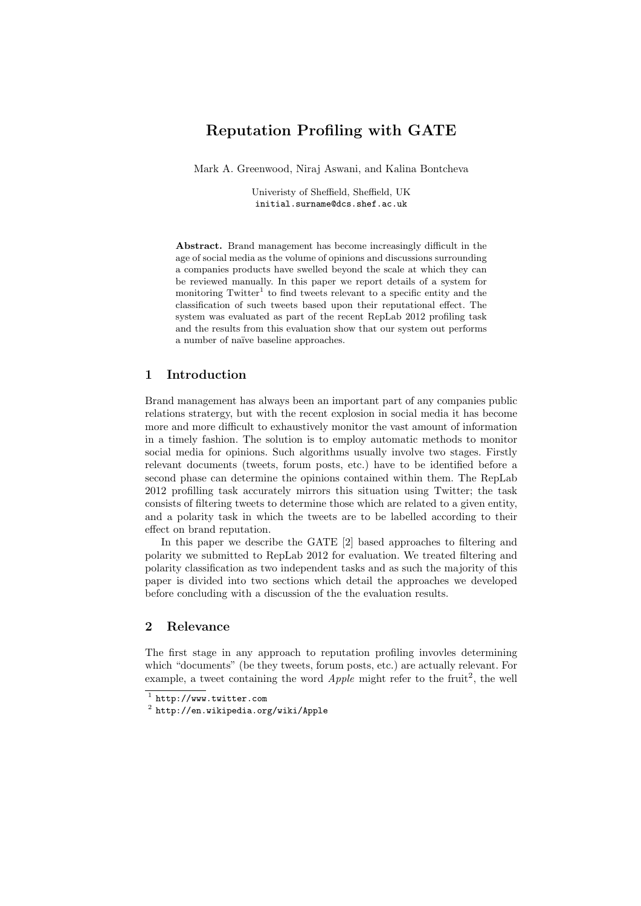# Reputation Profiling with GATE

Mark A. Greenwood, Niraj Aswani, and Kalina Bontcheva

Univeristy of Sheffield, Sheffield, UK initial.surname@dcs.shef.ac.uk

Abstract. Brand management has become increasingly difficult in the age of social media as the volume of opinions and discussions surrounding a companies products have swelled beyond the scale at which they can be reviewed manually. In this paper we report details of a system for monitoring Twitter<sup>1</sup> to find tweets relevant to a specific entity and the classification of such tweets based upon their reputational effect. The system was evaluated as part of the recent RepLab 2012 profiling task and the results from this evaluation show that our system out performs a number of na¨ıve baseline approaches.

## 1 Introduction

Brand management has always been an important part of any companies public relations stratergy, but with the recent explosion in social media it has become more and more difficult to exhaustively monitor the vast amount of information in a timely fashion. The solution is to employ automatic methods to monitor social media for opinions. Such algorithms usually involve two stages. Firstly relevant documents (tweets, forum posts, etc.) have to be identified before a second phase can determine the opinions contained within them. The RepLab 2012 profilling task accurately mirrors this situation using Twitter; the task consists of filtering tweets to determine those which are related to a given entity, and a polarity task in which the tweets are to be labelled according to their effect on brand reputation.

In this paper we describe the GATE [2] based approaches to filtering and polarity we submitted to RepLab 2012 for evaluation. We treated filtering and polarity classification as two independent tasks and as such the majority of this paper is divided into two sections which detail the approaches we developed before concluding with a discussion of the the evaluation results.

## 2 Relevance

The first stage in any approach to reputation profiling invovles determining which "documents" (be they tweets, forum posts, etc.) are actually relevant. For example, a tweet containing the word  $Apple$  might refer to the fruit<sup>2</sup>, the well

<sup>1</sup> http://www.twitter.com

 $^{\rm 2}$  http://en.wikipedia.org/wiki/Apple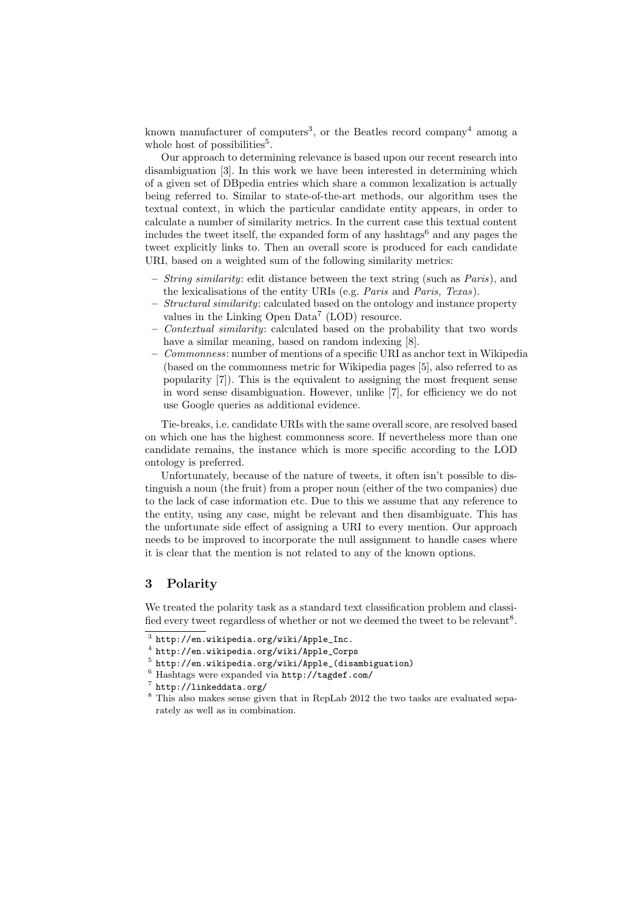known manufacturer of computers<sup>3</sup>, or the Beatles record company<sup>4</sup> among a whole host of possibilities<sup>5</sup>.

Our approach to determining relevance is based upon our recent research into disambiguation [3]. In this work we have been interested in determining which of a given set of DBpedia entries which share a common lexalization is actually being referred to. Similar to state-of-the-art methods, our algorithm uses the textual context, in which the particular candidate entity appears, in order to calculate a number of similarity metrics. In the current case this textual content includes the tweet itself, the expanded form of any hashtags<sup>6</sup> and any pages the tweet explicitly links to. Then an overall score is produced for each candidate URI, based on a weighted sum of the following similarity metrics:

- $-$  *String similarity:* edit distance between the text string (such as *Paris*), and the lexicalisations of the entity URIs (e.g. Paris and Paris, Texas).
- Structural similarity: calculated based on the ontology and instance property values in the Linking Open Data<sup>7</sup> (LOD) resource.
- Contextual similarity: calculated based on the probability that two words have a similar meaning, based on random indexing [8].
- Commonness: number of mentions of a specific URI as anchor text in Wikipedia (based on the commonness metric for Wikipedia pages [5], also referred to as popularity [7]). This is the equivalent to assigning the most frequent sense in word sense disambiguation. However, unlike [7], for efficiency we do not use Google queries as additional evidence.

Tie-breaks, i.e. candidate URIs with the same overall score, are resolved based on which one has the highest commonness score. If nevertheless more than one candidate remains, the instance which is more specific according to the LOD ontology is preferred.

Unfortunately, because of the nature of tweets, it often isn't possible to distinguish a noun (the fruit) from a proper noun (either of the two companies) due to the lack of case information etc. Due to this we assume that any reference to the entity, using any case, might be relevant and then disambiguate. This has the unfortunate side effect of assigning a URI to every mention. Our approach needs to be improved to incorporate the null assignment to handle cases where it is clear that the mention is not related to any of the known options.

## 3 Polarity

We treated the polarity task as a standard text classification problem and classified every tweet regardless of whether or not we deemed the tweet to be relevant<sup>8</sup>.

 $^3$  http://en.wikipedia.org/wiki/Apple\_Inc.

<sup>4</sup> http://en.wikipedia.org/wiki/Apple\_Corps

 $^5$  http://en.wikipedia.org/wiki/Apple\_(disambiguation)

<sup>6</sup> Hashtags were expanded via http://tagdef.com/

<sup>7</sup> http://linkeddata.org/

<sup>8</sup> This also makes sense given that in RepLab 2012 the two tasks are evaluated separately as well as in combination.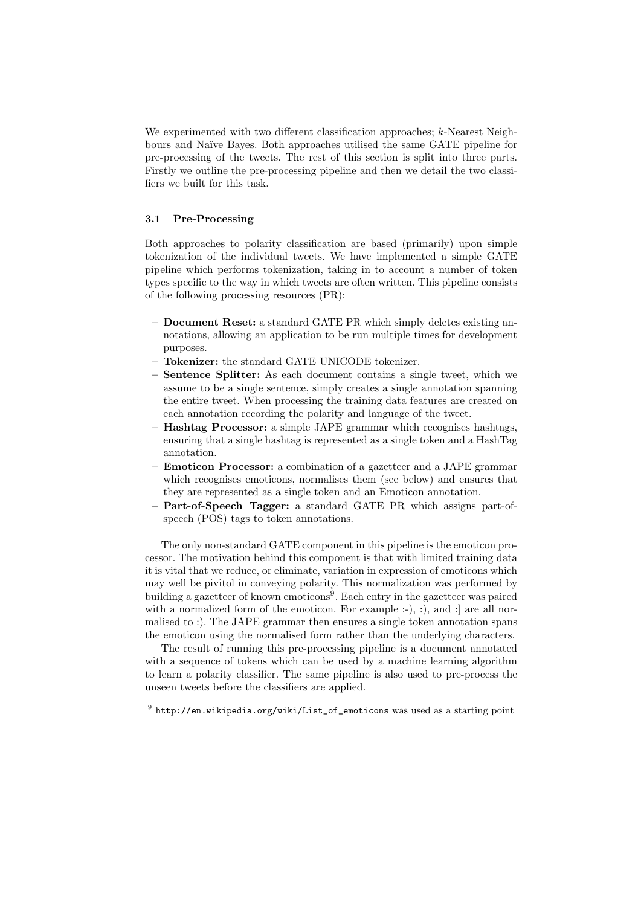We experimented with two different classification approaches; k-Nearest Neighbours and Na¨ıve Bayes. Both approaches utilised the same GATE pipeline for pre-processing of the tweets. The rest of this section is split into three parts. Firstly we outline the pre-processing pipeline and then we detail the two classifiers we built for this task.

### 3.1 Pre-Processing

Both approaches to polarity classification are based (primarily) upon simple tokenization of the individual tweets. We have implemented a simple GATE pipeline which performs tokenization, taking in to account a number of token types specific to the way in which tweets are often written. This pipeline consists of the following processing resources (PR):

- Document Reset: a standard GATE PR which simply deletes existing annotations, allowing an application to be run multiple times for development purposes.
- Tokenizer: the standard GATE UNICODE tokenizer.
- Sentence Splitter: As each document contains a single tweet, which we assume to be a single sentence, simply creates a single annotation spanning the entire tweet. When processing the training data features are created on each annotation recording the polarity and language of the tweet.
- Hashtag Processor: a simple JAPE grammar which recognises hashtags, ensuring that a single hashtag is represented as a single token and a HashTag annotation.
- Emoticon Processor: a combination of a gazetteer and a JAPE grammar which recognises emoticons, normalises them (see below) and ensures that they are represented as a single token and an Emoticon annotation.
- Part-of-Speech Tagger: a standard GATE PR which assigns part-ofspeech (POS) tags to token annotations.

The only non-standard GATE component in this pipeline is the emoticon processor. The motivation behind this component is that with limited training data it is vital that we reduce, or eliminate, variation in expression of emoticons which may well be pivitol in conveying polarity. This normalization was performed by building a gazetteer of known emoticons<sup>9</sup>. Each entry in the gazetteer was paired with a normalized form of the emoticon. For example  $:-$ ),  $:$ ), and  $:$  are all normalised to :). The JAPE grammar then ensures a single token annotation spans the emoticon using the normalised form rather than the underlying characters.

The result of running this pre-processing pipeline is a document annotated with a sequence of tokens which can be used by a machine learning algorithm to learn a polarity classifier. The same pipeline is also used to pre-process the unseen tweets before the classifiers are applied.

 $^{9}$  http://en.wikipedia.org/wiki/List\_of\_emoticons was used as a starting point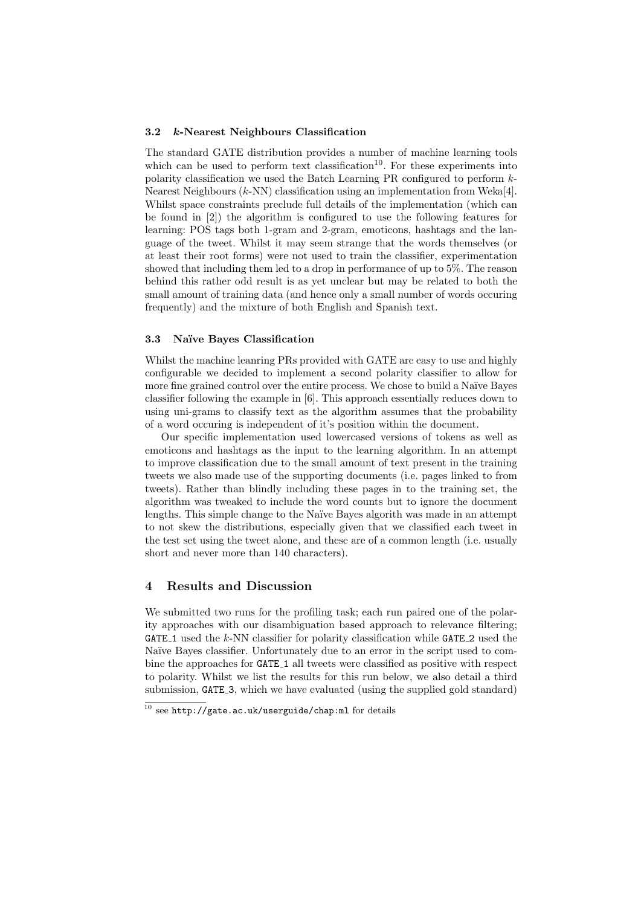#### 3.2 k-Nearest Neighbours Classification

The standard GATE distribution provides a number of machine learning tools which can be used to perform text classification<sup>10</sup>. For these experiments into polarity classification we used the Batch Learning PR configured to perform k-Nearest Neighbours (k-NN) classification using an implementation from Weka[4]. Whilst space constraints preclude full details of the implementation (which can be found in [2]) the algorithm is configured to use the following features for learning: POS tags both 1-gram and 2-gram, emoticons, hashtags and the language of the tweet. Whilst it may seem strange that the words themselves (or at least their root forms) were not used to train the classifier, experimentation showed that including them led to a drop in performance of up to 5%. The reason behind this rather odd result is as yet unclear but may be related to both the small amount of training data (and hence only a small number of words occuring frequently) and the mixture of both English and Spanish text.

### 3.3 Na¨ıve Bayes Classification

Whilst the machine leanring PRs provided with GATE are easy to use and highly configurable we decided to implement a second polarity classifier to allow for more fine grained control over the entire process. We chose to build a Naïve Bayes classifier following the example in [6]. This approach essentially reduces down to using uni-grams to classify text as the algorithm assumes that the probability of a word occuring is independent of it's position within the document.

Our specific implementation used lowercased versions of tokens as well as emoticons and hashtags as the input to the learning algorithm. In an attempt to improve classification due to the small amount of text present in the training tweets we also made use of the supporting documents (i.e. pages linked to from tweets). Rather than blindly including these pages in to the training set, the algorithm was tweaked to include the word counts but to ignore the document lengths. This simple change to the Naïve Bayes algorith was made in an attempt to not skew the distributions, especially given that we classified each tweet in the test set using the tweet alone, and these are of a common length (i.e. usually short and never more than 140 characters).

## 4 Results and Discussion

We submitted two runs for the profiling task; each run paired one of the polarity approaches with our disambiguation based approach to relevance filtering; GATE<sub>1</sub> used the  $k$ -NN classifier for polarity classification while GATE<sub>-2</sub> used the Naïve Bayes classifier. Unfortunately due to an error in the script used to combine the approaches for GATE<sub>1</sub> all tweets were classified as positive with respect to polarity. Whilst we list the results for this run below, we also detail a third submission, GATE<sub>-3</sub>, which we have evaluated (using the supplied gold standard)

 $10$  see http://gate.ac.uk/userguide/chap:ml for details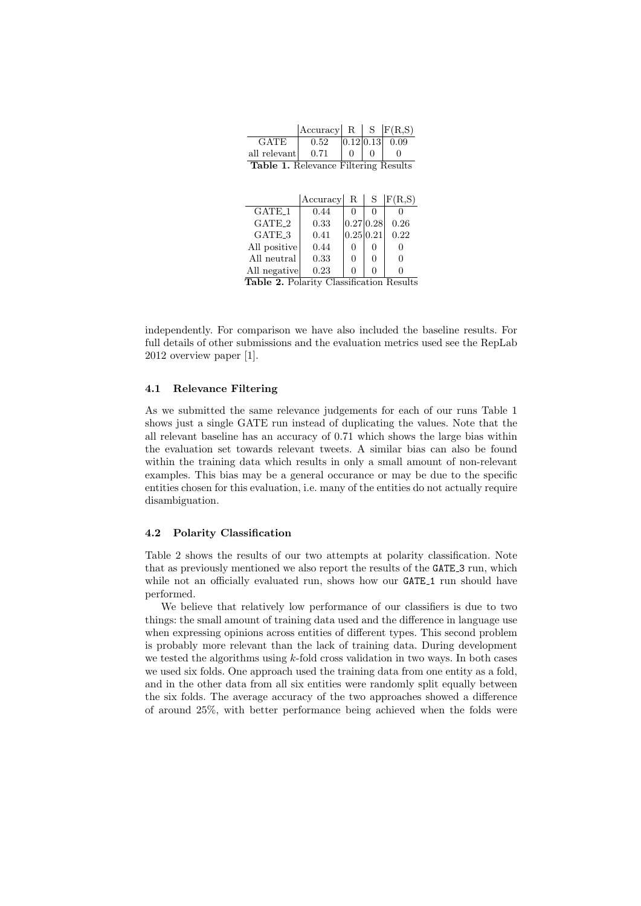|                                             | Accuracy                 | $\cdot$ R $\cdot$ | $S_{-}$   | F(R,S) |  |  |
|---------------------------------------------|--------------------------|-------------------|-----------|--------|--|--|
| <b>GATE</b>                                 | 0.52                     |                   | 0.12 0.13 | 0.09   |  |  |
| all relevant                                | 0.71                     |                   |           |        |  |  |
| <b>Table 1.</b> Relevance Filtering Results |                          |                   |           |        |  |  |
|                                             |                          |                   |           |        |  |  |
|                                             |                          |                   |           |        |  |  |
|                                             | Accuracy  R   S   F(R,S) |                   |           |        |  |  |
| GATE <sub>-1</sub>                          | 0.44                     |                   |           |        |  |  |
| $\alpha$ at the $\alpha$                    | റാ                       |                   |           |        |  |  |

| GATE <sub>-1</sub>                              | 0.44 |              |              |      |  |  |
|-------------------------------------------------|------|--------------|--------------|------|--|--|
| GATE <sub>-2</sub>                              | 0.33 |              | 0.27 0.28    | 0.26 |  |  |
| GATE <sub>3</sub>                               | 0.41 | 0.25 0.21    |              | 0.22 |  |  |
| All positive                                    | 0.44 |              | $\theta$     |      |  |  |
| All neutral                                     | 0.33 | $\mathbf{0}$ | 0            |      |  |  |
| All negative                                    | 0.23 | $\mathbf{I}$ | $\mathbf{0}$ |      |  |  |
| <b>Table 2.</b> Polarity Classification Results |      |              |              |      |  |  |

independently. For comparison we have also included the baseline results. For full details of other submissions and the evaluation metrics used see the RepLab 2012 overview paper [1].

### 4.1 Relevance Filtering

As we submitted the same relevance judgements for each of our runs Table 1 shows just a single GATE run instead of duplicating the values. Note that the all relevant baseline has an accuracy of 0.71 which shows the large bias within the evaluation set towards relevant tweets. A similar bias can also be found within the training data which results in only a small amount of non-relevant examples. This bias may be a general occurance or may be due to the specific entities chosen for this evaluation, i.e. many of the entities do not actually require disambiguation.

### 4.2 Polarity Classification

Table 2 shows the results of our two attempts at polarity classification. Note that as previously mentioned we also report the results of the GATE 3 run, which while not an officially evaluated run, shows how our GATE<sub>1</sub> run should have performed.

We believe that relatively low performance of our classifiers is due to two things: the small amount of training data used and the difference in language use when expressing opinions across entities of different types. This second problem is probably more relevant than the lack of training data. During development we tested the algorithms using  $k$ -fold cross validation in two ways. In both cases we used six folds. One approach used the training data from one entity as a fold, and in the other data from all six entities were randomly split equally between the six folds. The average accuracy of the two approaches showed a difference of around 25%, with better performance being achieved when the folds were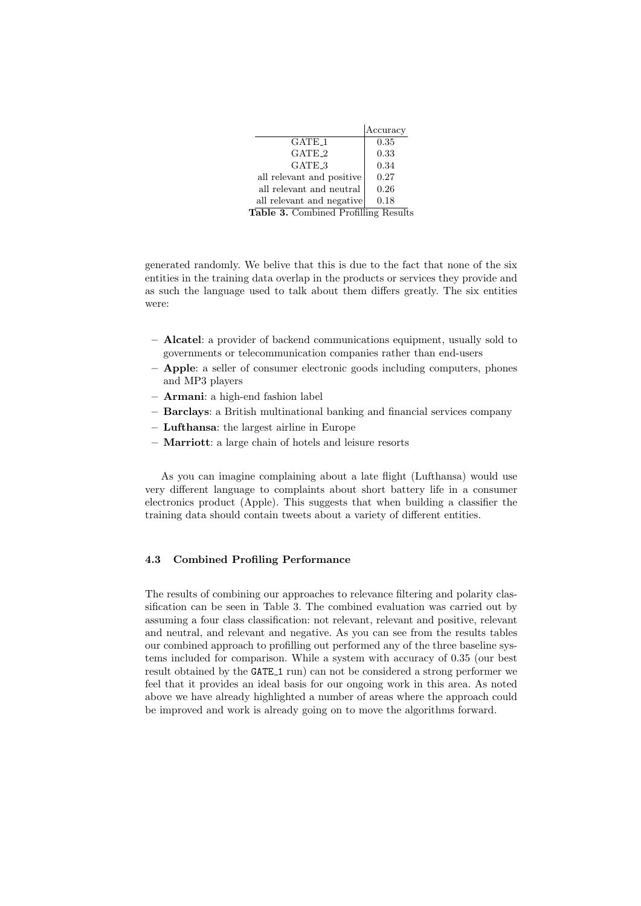|                                      | Accuracy |  |  |  |
|--------------------------------------|----------|--|--|--|
| $GATE-1$                             | 0.35     |  |  |  |
| GATE <sub>-2</sub>                   | 0.33     |  |  |  |
| GATE 3                               | 0.34     |  |  |  |
| all relevant and positive            | 0.27     |  |  |  |
| all relevant and neutral             | 0.26     |  |  |  |
| all relevant and negative            | 0.18     |  |  |  |
| Table 3. Combined Profilling Results |          |  |  |  |

generated randomly. We belive that this is due to the fact that none of the six entities in the training data overlap in the products or services they provide and as such the language used to talk about them differs greatly. The six entities were:

- Alcatel: a provider of backend communications equipment, usually sold to governments or telecommunication companies rather than end-users
- Apple: a seller of consumer electronic goods including computers, phones and MP3 players
- Armani: a high-end fashion label
- Barclays: a British multinational banking and financial services company
- Lufthansa: the largest airline in Europe
- Marriott: a large chain of hotels and leisure resorts

As you can imagine complaining about a late flight (Lufthansa) would use very different language to complaints about short battery life in a consumer electronics product (Apple). This suggests that when building a classifier the training data should contain tweets about a variety of different entities.

## 4.3 Combined Profiling Performance

The results of combining our approaches to relevance filtering and polarity classification can be seen in Table 3. The combined evaluation was carried out by assuming a four class classification: not relevant, relevant and positive, relevant and neutral, and relevant and negative. As you can see from the results tables our combined approach to profilling out performed any of the three baseline systems included for comparison. While a system with accuracy of 0.35 (our best result obtained by the GATE<sub>1</sub> run) can not be considered a strong performer we feel that it provides an ideal basis for our ongoing work in this area. As noted above we have already highlighted a number of areas where the approach could be improved and work is already going on to move the algorithms forward.